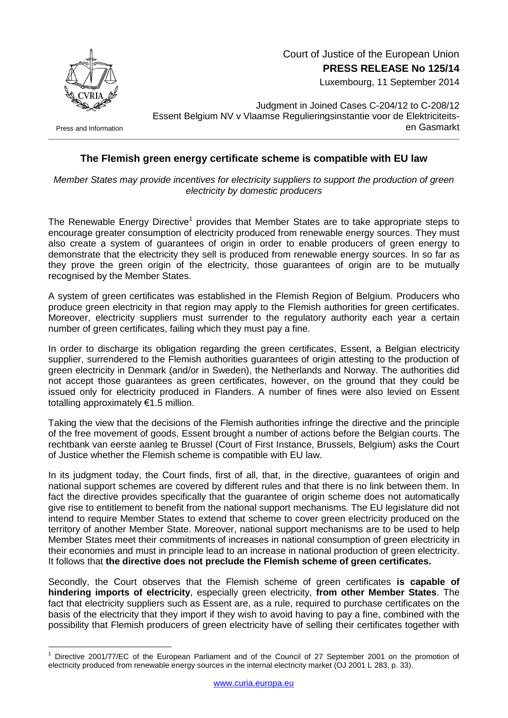

 Court of Justice of the European Union **PRESS RELEASE No 125/14**

Luxembourg, 11 September 2014

Press and Information

<u>.</u>

Judgment in Joined Cases C-204/12 to C-208/12 Essent Belgium NV v Vlaamse Regulieringsinstantie voor de Elektriciteitsen Gasmarkt

## **The Flemish green energy certificate scheme is compatible with EU law**

*Member States may provide incentives for electricity suppliers to support the production of green electricity by domestic producers*

The Renewable Energy Directive<sup>1</sup> provides that Member States are to take appropriate steps to encourage greater consumption of electricity produced from renewable energy sources. They must also create a system of guarantees of origin in order to enable producers of green energy to demonstrate that the electricity they sell is produced from renewable energy sources. In so far as they prove the green origin of the electricity, those guarantees of origin are to be mutually recognised by the Member States.

A system of green certificates was established in the Flemish Region of Belgium. Producers who produce green electricity in that region may apply to the Flemish authorities for green certificates. Moreover, electricity suppliers must surrender to the regulatory authority each year a certain number of green certificates, failing which they must pay a fine.

In order to discharge its obligation regarding the green certificates, Essent, a Belgian electricity supplier, surrendered to the Flemish authorities guarantees of origin attesting to the production of green electricity in Denmark (and/or in Sweden), the Netherlands and Norway. The authorities did not accept those guarantees as green certificates, however, on the ground that they could be issued only for electricity produced in Flanders. A number of fines were also levied on Essent totalling approximately €1.5 million.

Taking the view that the decisions of the Flemish authorities infringe the directive and the principle of the free movement of goods, Essent brought a number of actions before the Belgian courts. The rechtbank van eerste aanleg te Brussel (Court of First Instance, Brussels, Belgium) asks the Court of Justice whether the Flemish scheme is compatible with EU law.

In its judgment today, the Court finds, first of all, that, in the directive, guarantees of origin and national support schemes are covered by different rules and that there is no link between them. In fact the directive provides specifically that the guarantee of origin scheme does not automatically give rise to entitlement to benefit from the national support mechanisms. The EU legislature did not intend to require Member States to extend that scheme to cover green electricity produced on the territory of another Member State. Moreover, national support mechanisms are to be used to help Member States meet their commitments of increases in national consumption of green electricity in their economies and must in principle lead to an increase in national production of green electricity. It follows that **the directive does not preclude the Flemish scheme of green certificates.**

Secondly, the Court observes that the Flemish scheme of green certificates **is capable of hindering imports of electricity**, especially green electricity, **from other Member States**. The fact that electricity suppliers such as Essent are, as a rule, required to purchase certificates on the basis of the electricity that they import if they wish to avoid having to pay a fine, combined with the possibility that Flemish producers of green electricity have of selling their certificates together with

Directive 2001/77/EC of the European Parliament and of the Council of 27 September 2001 on the promotion of electricity produced from renewable energy sources in the internal electricity market (OJ 2001 L 283, p. 33).